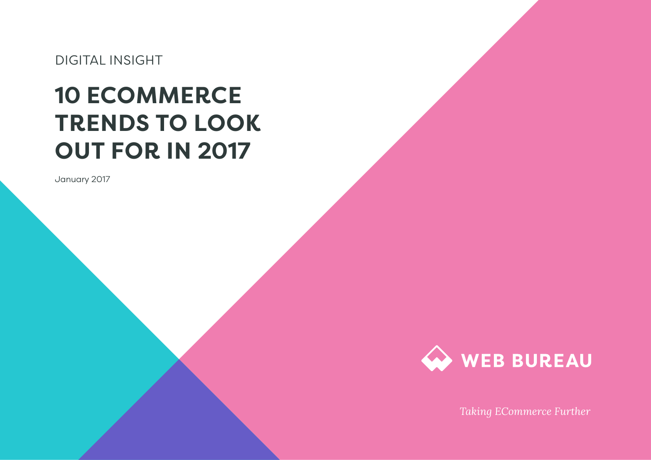DIGITAL INSIGHT

# **10 ECOMMERCE TRENDS TO LOOK OUT FOR IN 2017**

January 2017



*Taking ECommerce Further*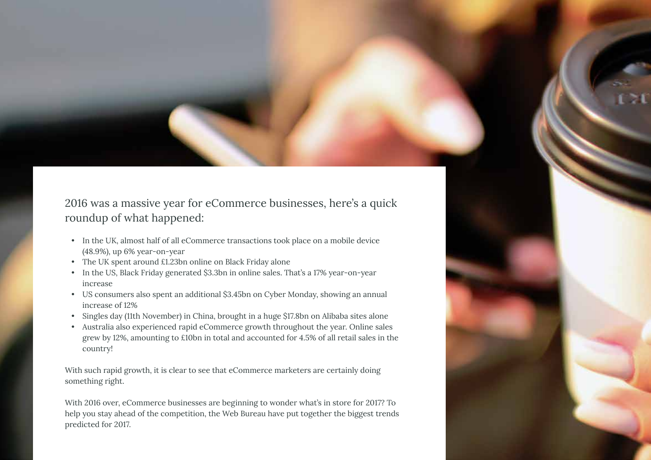2016 was a massive year for eCommerce businesses, here's a quick roundup of what happened:

- In the UK, almost half of all eCommerce transactions took place on a mobile device (48.9%), up 6% year-on-year
- The UK spent around £1.23bn online on Black Friday alone
- In the US, Black Friday generated \$3.3bn in online sales. That's a 17% year-on-year increase
- US consumers also spent an additional \$3.45bn on Cyber Monday, showing an annual increase of 12%
- Singles day (11th November) in China, brought in a huge \$17.8bn on Alibaba sites alone
- Australia also experienced rapid eCommerce growth throughout the year. Online sales grew by 12%, amounting to £10bn in total and accounted for 4.5% of all retail sales in the country!

With such rapid growth, it is clear to see that eCommerce marketers are certainly doing something right.

With 2016 over, eCommerce businesses are beginning to wonder what's in store for 2017? To help you stay ahead of the competition, the Web Bureau have put together the biggest trends predicted for 2017.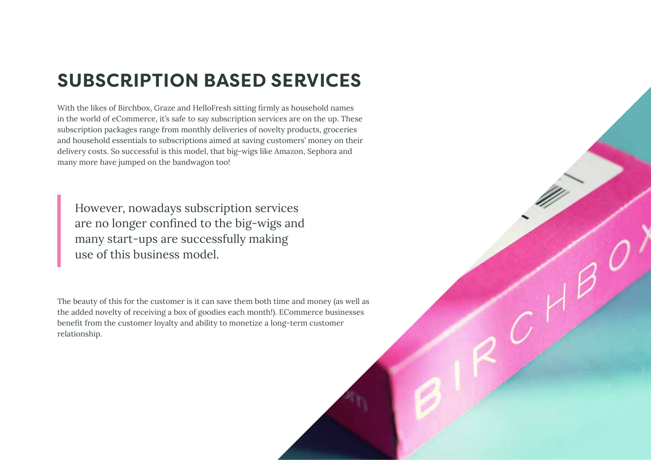### **SUBSCRIPTION BASED SERVICES**

With the likes of Birchbox, Graze and HelloFresh sitting firmly as household names in the world of eCommerce, it's safe to say subscription services are on the up. These subscription packages range from monthly deliveries of novelty products, groceries and household essentials to subscriptions aimed at saving customers' money on their delivery costs. So successful is this model, that big-wigs like Amazon, Sephora and many more have jumped on the bandwagon too!

However, nowadays subscription services are no longer confined to the big-wigs and many start-ups are successfully making use of this business model.

The beauty of this for the customer is it can save them both time and money (as well as the added novelty of receiving a box of goodies each month!). ECommerce businesses benefit from the customer loyalty and ability to monetize a long-term customer relationship.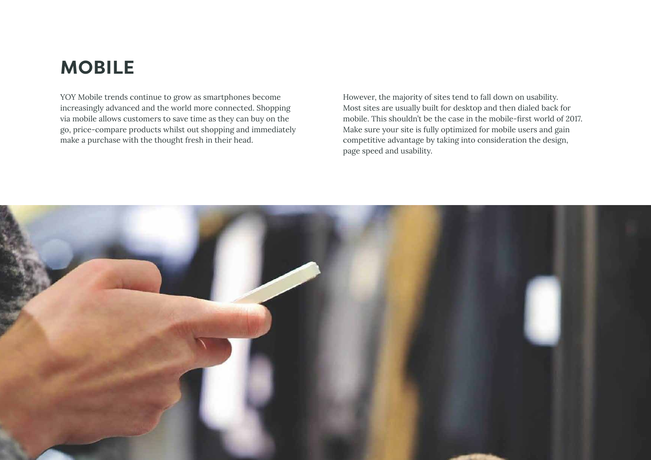### **MOBILE**

YOY Mobile trends continue to grow as smartphones become increasingly advanced and the world more connected. Shopping via mobile allows customers to save time as they can buy on the go, price-compare products whilst out shopping and immediately make a purchase with the thought fresh in their head.

However, the majority of sites tend to fall down on usability. Most sites are usually built for desktop and then dialed back for mobile. This shouldn't be the case in the mobile-first world of 2017. Make sure your site is fully optimized for mobile users and gain competitive advantage by taking into consideration the design, page speed and usability.

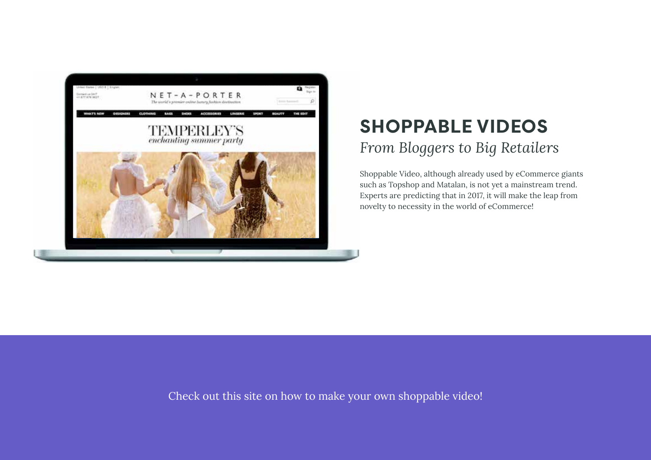

### **SHOPPABLE VIDEOS** *From Bloggers to Big Retailers*

Shoppable Video, although already used by eCommerce giants such as Topshop and Matalan, is not yet a mainstream trend. Experts are predicting that in 2017, it will make the leap from novelty to necessity in the world of eCommerce!

[Check out this site on how to make your own shoppable video!](http://wideo.co/blog/the-beginners-guide-to-creating-shoppable-videos/#.WEf5qzeVbFI)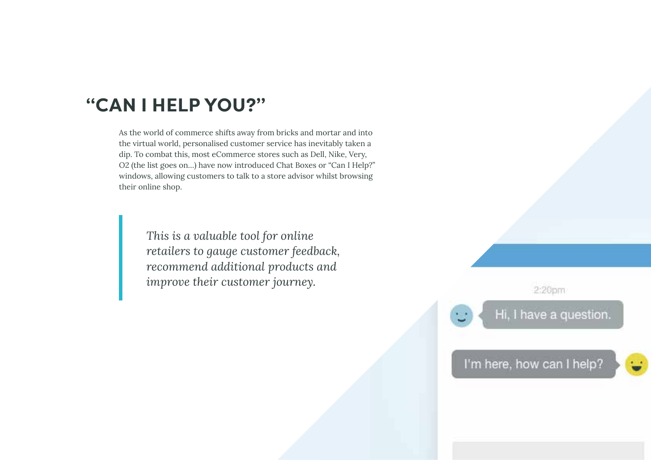#### **"CAN I HELP YOU?"**

As the world of commerce shifts away from bricks and mortar and into the virtual world, personalised customer service has inevitably taken a dip. To combat this, most eCommerce stores such as Dell, Nike, Very, O2 (the list goes on…) have now introduced Chat Boxes or "Can I Help?" windows, allowing customers to talk to a store advisor whilst browsing their online shop.

> *This is a valuable tool for online retailers to gauge customer feedback, recommend additional products and improve their customer journey.*

2:20pm

Hi, I have a question.

I'm here, how can I help?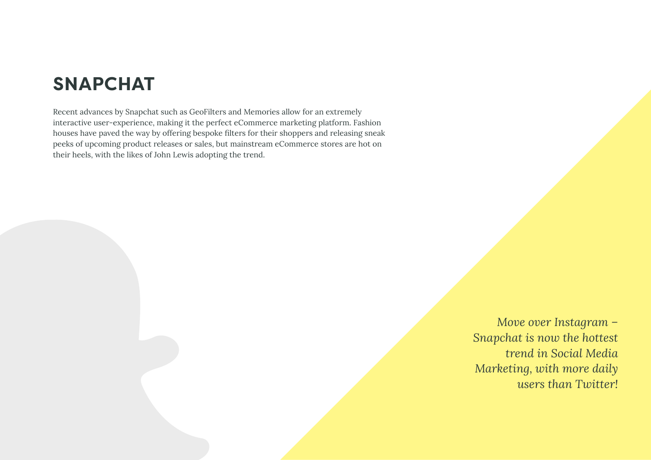### **SNAPCHAT**

Recent advances by Snapchat such as GeoFilters and Memories allow for an extremely interactive user-experience, making it the perfect eCommerce marketing platform. Fashion houses have paved the way by offering bespoke filters for their shoppers and releasing sneak peeks of upcoming product releases or sales, but mainstream eCommerce stores are hot on their heels, with the likes of John Lewis adopting the trend.

> *Move over Instagram – Snapchat is now the hottest trend in Social Media Marketing, with more daily users than Twitter!*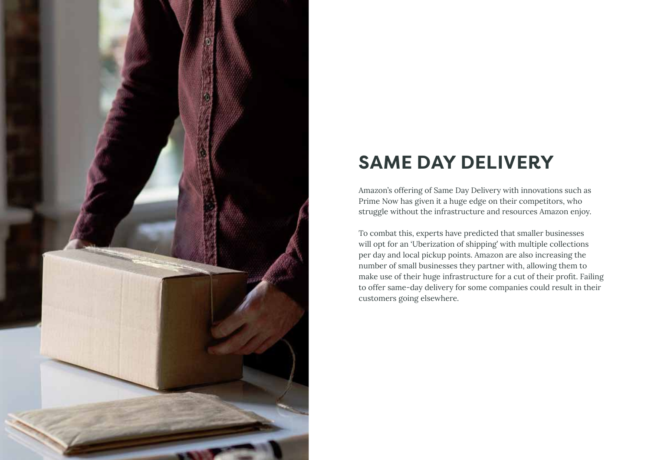

## **SAME DAY DELIVERY**

Amazon's offering of Same Day Delivery with innovations such as Prime Now has given it a huge edge on their competitors, who struggle without the infrastructure and resources Amazon enjoy.

To combat this, experts have predicted that smaller businesses will opt for an 'Uberization of shipping' with multiple collections per day and local pickup points. Amazon are also increasing the number of small businesses they partner with, allowing them to make use of their huge infrastructure for a cut of their profit. Failing to offer same-day delivery for some companies could result in their customers going elsewhere.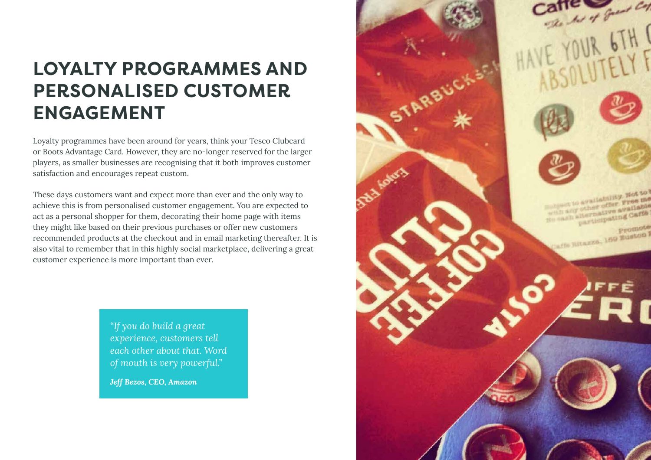### **LOYALTY PROGRAMMES AND PERSONALISED CUSTOMER ENGAGEMENT**

Loyalty programmes have been around for years, think your Tesco Clubcard or Boots Advantage Card. However, they are no-longer reserved for the larger players, as smaller businesses are recognising that it both improves customer satisfaction and encourages repeat custom.

These days customers want and expect more than ever and the only way to achieve this is from personalised customer engagement. You are expected to act as a personal shopper for them, decorating their home page with items they might like based on their previous purchases or offer new customers recommended products at the checkout and in email marketing thereafter. It is also vital to remember that in this highly social marketplace, delivering a great customer experience is more important than ever.

> *"If you do build a great experience, customers tell each other about that. Word of mouth is very powerful."*

*Jeff Bezos, CEO, Amazon*

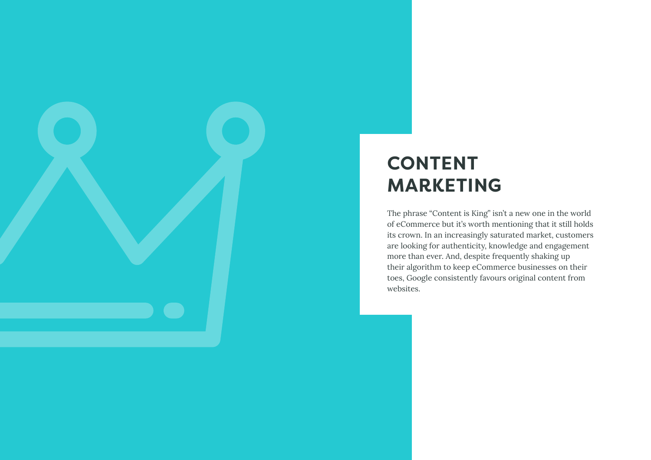

The phrase "Content is King" isn't a new one in the world of eCommerce but it's worth mentioning that it still holds its crown. In an increasingly saturated market, customers are looking for authenticity, knowledge and engagement more than ever. And, despite frequently shaking up their algorithm to keep eCommerce businesses on their toes, Google consistently favours original content from websites.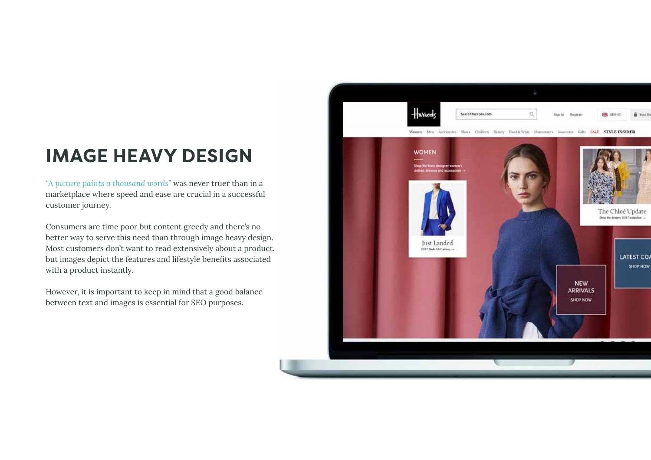### **IMAGE HEAVY DESIGN**

*"A picture paints a thousand words"* was never truer than in a marketplace where speed and ease are crucial in a successful customer journey.

Consumers are time poor but content greedy and there's no better way to serve this need than through image heavy design. Most customers don't want to read extensively about a product, but images depict the features and lifestyle benefits associated with a product instantly.

However, it is important to keep in mind that a good balance between text and images is essential for SEO purposes.

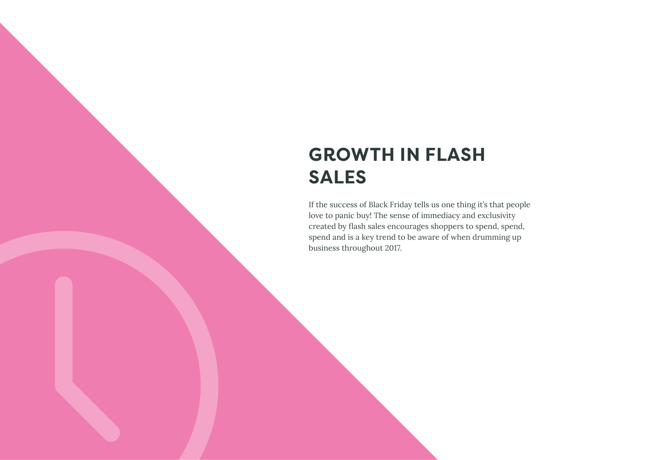### **GROWTH IN FLASH SALES**

If the success of Black Friday tells us one thing it's that people love to panic buy! The sense of immediacy and exclusivity created by flash sales encourages shoppers to spend, spend, spend and is a key trend to be aware of when drumming up business throughout 2017.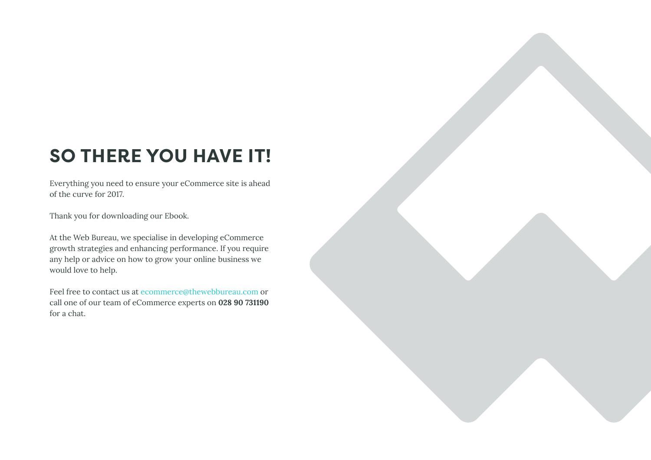### **SO THERE YOU HAVE IT!**

Everything you need to ensure your eCommerce site is ahead of the curve for 2017.

Thank you for downloading our Ebook.

At the Web Bureau, we specialise in developing eCommerce growth strategies and enhancing performance. If you require any help or advice on how to grow your online business we would love to help.

Feel free to contact us at [ecommerce@thewebbureau.com](mailto:ecommerce%40thewebbureau.com?subject=) or call one of our team of eCommerce experts on **028 90 731190**  for a chat.